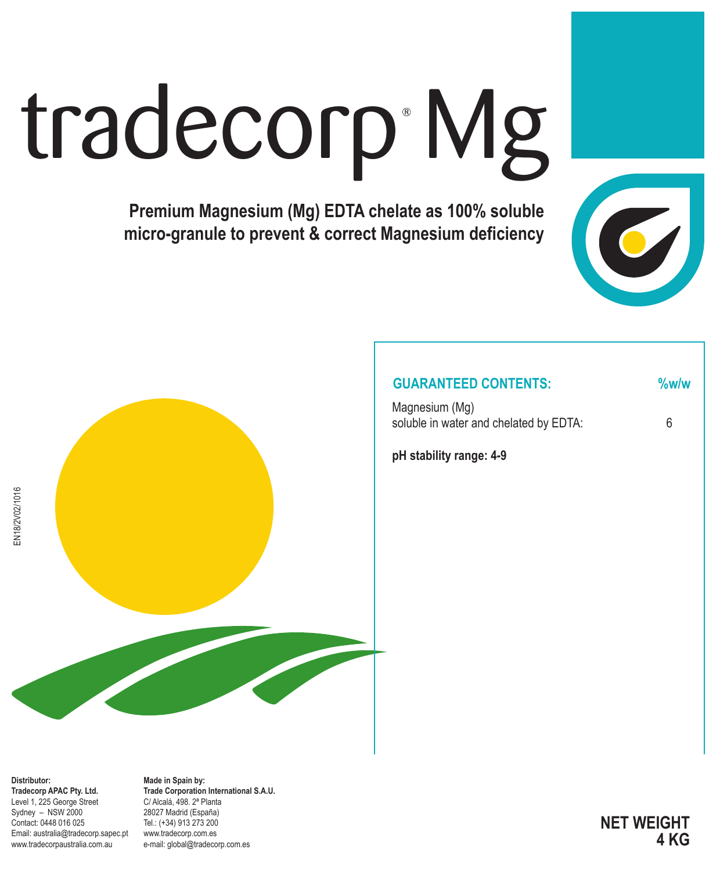# tradecorp Mg

**Premium Magnesium (Mg) EDTA chelate as 100% soluble micro-granule to prevent & correct Magnesium deficiency**



### **GUARANTEED CONTENTS: %w/w**

Magnesium (Mg) soluble in water and chelated by EDTA: 6

**pH stability range: 4-9**



**Distributor: Tradecorp APAC Pty. Ltd.** Level 1, 225 George Street Sydney – NSW 2000 Contact: 0448 016 025 Email: australia@tradecorp.sapec.pt www.tradecorpaustralia.com.au

**Made in Spain by: Trade Corporation International S.A.U.** C/ Alcalá, 498. 2ª Planta 28027 Madrid (España) Tel.: (+34) 913 273 200 www.tradecorp.com.es e-mail: global@tradecorp.com.es

**NET WEIGHT 4 KG**